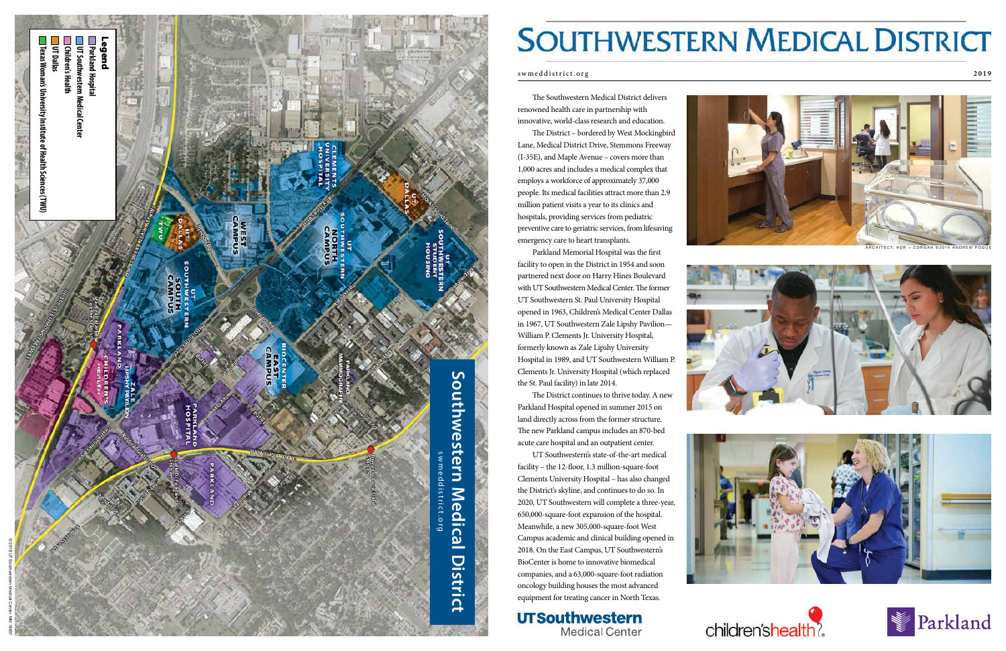The Southwestern Medical District delivers renowned health care in partnership with innovative, world-class research and education.

The District – bordered by West Mockingbird Lane, Medical District Drive, Stemmons Freeway (I-35E), and Maple Avenue – covers more than 1,000 acres and includes a medical complex that employs a workforce of approximately 37,000 people. Its medical facilities attract more than 2.9 million patient visits a year to its clinics and hospitals, providing services from pediatric preventive care to geriatric services, from lifesaving emergency care to heart transplants.

Parkland Memorial Hospital was the first facility to open in the District in 1954 and soon partnered next door on Harry Hines Boulevard with UT Southwestern Medical Center. The former UT Southwestern St. Paul University Hospital opened in 1963, Children's Medical Center Dallas in 1967, UT Southwestern Zale Lipshy Pavilion— William P. Clements Jr. University Hospital, formerly known as Zale Lipshy University Hospital in 1989, and UT Southwestern William P. Clements Jr. University Hospital (which replaced the St. Paul facility) in late 2014.



# **SOUTHWESTERN MEDICAL DISTRICT**

The District continues to thrive today. A new Parkland Hospital opened in summer 2015 on land directly across from the former structure. The new Parkland campus includes an 870-bed acute care hospital and an outpatient center.

UT Southwestern's state-of-the-art medical facility – the 12-floor, 1.3 million-square-foot Clements University Hospital – has also changed the District's skyline, and continues to do so. In 2020, UT Southwestern will complete a three-year, 650,000-square-foot expansion of the hospital. Meanwhile, a new 305,000-square-foot West Campus academic and clinical building opened in 2018. On the East Campus, UT Southwestern's BioCenter is home to innovative biomedical companies, and a 63,000-square-foot radiation oncology building houses the most advanced equipment for treating cancer in North Texas.

**UTSouthwestern Medical Center** 









ARCHITECT: HDR + CORGAN ©2014 ANDREW POGUE









### swmeddistrict.org **2019**